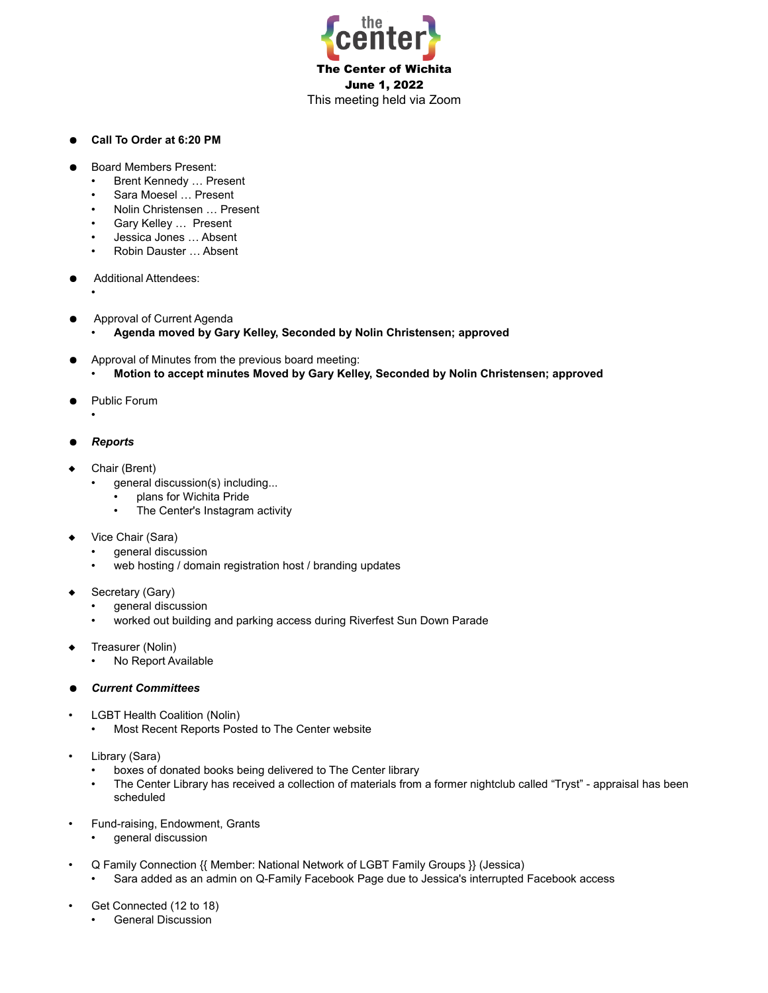

## ● **Call To Order at 6:20 PM**

- **Board Members Present:** 
	- Brent Kennedy … Present
	- Sara Moesel … Present
	- Nolin Christensen … Present
	- Gary Kelley … Present
	- Jessica Jones … Absent
	- Robin Dauster … Absent
- **Additional Attendees:** 
	- •
- Approval of Current Agenda
	- **Agenda moved by Gary Kelley, Seconded by Nolin Christensen; approved**
- Approval of Minutes from the previous board meeting:
	- **Motion to accept minutes Moved by Gary Kelley, Seconded by Nolin Christensen; approved**
- Public Forum
	- •
- *Reports*
- Chair (Brent)
	- general discussion(s) including...
		- plans for Wichita Pride
		- The Center's Instagram activity
- Vice Chair (Sara)
	- general discussion
	- web hosting / domain registration host / branding updates
- Secretary (Gary)
	- general discussion
	- worked out building and parking access during Riverfest Sun Down Parade
- Treasurer (Nolin)
	- No Report Available
- *Current Committees*
- LGBT Health Coalition (Nolin)
	- Most Recent Reports Posted to The Center website
- Library (Sara)
	- boxes of donated books being delivered to The Center library
	- The Center Library has received a collection of materials from a former nightclub called "Tryst" appraisal has been scheduled
- Fund-raising, Endowment, Grants
	- general discussion
- Q Family Connection {{ Member: National Network of LGBT Family Groups }} (Jessica)
	- Sara added as an admin on Q-Family Facebook Page due to Jessica's interrupted Facebook access
- Get Connected (12 to 18)
	- General Discussion